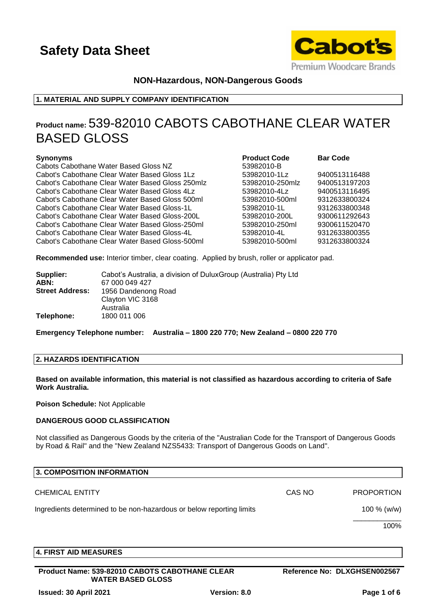

# **NON-Hazardous, NON-Dangerous Goods**

# **1. MATERIAL AND SUPPLY COMPANY IDENTIFICATION**

# **Product name:** 539-82010 CABOTS CABOTHANE CLEAR WATER BASED GLOSS

### **Synonyms Product Code Barr <b>Code Barr Code Barr Code Barr Code Barr Code Barr Code Barr Code Barr Code Barr Code Barr Code Barr Code Barr Code Barr Code Barr Code Barr Code Barr Code Ba**

Cabots Cabothane Water Based Gloss NZ 539892010-B Cabot's Cabothane Clear Water Based Gloss 1Lz 53982010-1Lz 9400513116488 Cabot's Cabothane Clear Water Based Gloss 250mlz 53982010-250mlz 9400513197203 Cabot's Cabothane Clear Water Based Gloss 4Lz 53982010-4Lz 9400513116495 Cabot's Cabothane Clear Water Based Gloss 500ml 53982010-500ml 9312633800324 Cabot's Cabothane Clear Water Based Gloss-1L 53982010-1L 9312633800348 Cabot's Cabothane Clear Water Based Gloss-200L 53982010-200L 9300611292643 Cabot's Cabothane Clear Water Based Gloss-250ml 53982010-250ml 9300611520470 Cabot's Cabothane Clear Water Based Gloss-4L 53982010-4L 9312633800355 Cabot's Cabothane Clear Water Based Gloss-500ml 53982010-500ml 9312633800324

| Product Code   | <b>Bar Code</b> |
|----------------|-----------------|
| 63982010-B     |                 |
| 3982010-1Lz    | 94005131164     |
| 3982010-250mlz | 94005131972     |
| 3982010-4Lz    | 94005131164     |
| i3982010-500ml | 93126338003     |
| 3982010-1L     | 93126338003     |
| 3982010-200L   | 93006112926     |
| 3982010-250ml  | 93006115204     |
| i3982010-4L    | 93126338003     |
| 3982010-500ml  | 93126338003     |

**Recommended use:** Interior timber, clear coating. Applied by brush, roller or applicator pad.

| Supplier:<br>ABN:      | Cabot's Australia, a division of DuluxGroup (Australia) Pty Ltd<br>67 000 049 427 |
|------------------------|-----------------------------------------------------------------------------------|
| <b>Street Address:</b> | 1956 Dandenong Road<br>Clayton VIC 3168<br>Australia                              |
| Telephone:             | 1800 011 006                                                                      |

**Emergency Telephone number: Australia – 1800 220 770; New Zealand – 0800 220 770**

# **2. HAZARDS IDENTIFICATION**

**Based on available information, this material is not classified as hazardous according to criteria of Safe Work Australia.**

**Poison Schedule:** Not Applicable

### **DANGEROUS GOOD CLASSIFICATION**

Not classified as Dangerous Goods by the criteria of the "Australian Code for the Transport of Dangerous Goods by Road & Rail" and the "New Zealand NZS5433: Transport of Dangerous Goods on Land".

| <b>3. COMPOSITION INFORMATION</b>                                    |        |                   |
|----------------------------------------------------------------------|--------|-------------------|
| <b>CHEMICAL ENTITY</b>                                               | CAS NO | <b>PROPORTION</b> |
| Ingredients determined to be non-hazardous or below reporting limits |        | 100 $% (w/w)$     |
|                                                                      |        | 100%              |
|                                                                      |        |                   |

# **4. FIRST AID MEASURES**

**Product Name: 539-82010 CABOTS CABOTHANE CLEAR WATER BASED GLOSS**

**Reference No: DLXGHSEN002567**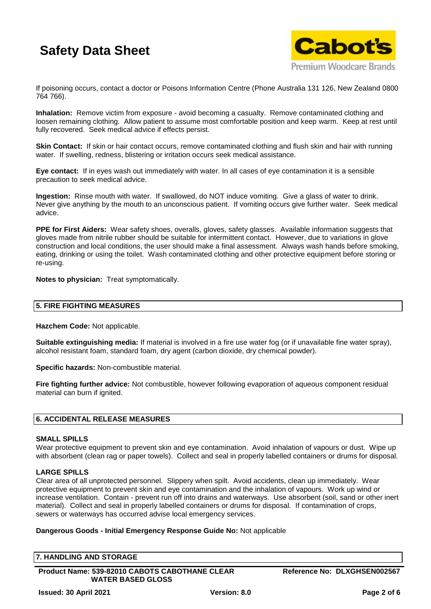

If poisoning occurs, contact a doctor or Poisons Information Centre (Phone Australia 131 126, New Zealand 0800 764 766).

**Inhalation:** Remove victim from exposure - avoid becoming a casualty. Remove contaminated clothing and loosen remaining clothing. Allow patient to assume most comfortable position and keep warm. Keep at rest until fully recovered. Seek medical advice if effects persist.

**Skin Contact:** If skin or hair contact occurs, remove contaminated clothing and flush skin and hair with running water. If swelling, redness, blistering or irritation occurs seek medical assistance.

**Eye contact:** If in eyes wash out immediately with water. In all cases of eye contamination it is a sensible precaution to seek medical advice.

**Ingestion:** Rinse mouth with water. If swallowed, do NOT induce vomiting. Give a glass of water to drink. Never give anything by the mouth to an unconscious patient. If vomiting occurs give further water. Seek medical advice.

**PPE for First Aiders:** Wear safety shoes, overalls, gloves, safety glasses. Available information suggests that gloves made from nitrile rubber should be suitable for intermittent contact. However, due to variations in glove construction and local conditions, the user should make a final assessment. Always wash hands before smoking, eating, drinking or using the toilet. Wash contaminated clothing and other protective equipment before storing or re-using.

**Notes to physician:** Treat symptomatically.

# **5. FIRE FIGHTING MEASURES**

**Hazchem Code:** Not applicable.

**Suitable extinguishing media:** If material is involved in a fire use water fog (or if unavailable fine water spray), alcohol resistant foam, standard foam, dry agent (carbon dioxide, dry chemical powder).

**Specific hazards:** Non-combustible material.

**Fire fighting further advice:** Not combustible, however following evaporation of aqueous component residual material can burn if ignited.

# **6. ACCIDENTAL RELEASE MEASURES**

### **SMALL SPILLS**

Wear protective equipment to prevent skin and eye contamination. Avoid inhalation of vapours or dust. Wipe up with absorbent (clean rag or paper towels). Collect and seal in properly labelled containers or drums for disposal.

### **LARGE SPILLS**

Clear area of all unprotected personnel. Slippery when spilt. Avoid accidents, clean up immediately. Wear protective equipment to prevent skin and eye contamination and the inhalation of vapours. Work up wind or increase ventilation. Contain - prevent run off into drains and waterways. Use absorbent (soil, sand or other inert material). Collect and seal in properly labelled containers or drums for disposal. If contamination of crops, sewers or waterways has occurred advise local emergency services.

### **Dangerous Goods - Initial Emergency Response Guide No:** Not applicable

| <b>7. HANDLING AND STORAGE</b>                        |                              |
|-------------------------------------------------------|------------------------------|
|                                                       |                              |
| <b>Product Name: 539-82010 CABOTS CABOTHANE CLEAR</b> | Reference No: DLXGHSEN002567 |
| <b>WATER BASED GLOSS</b>                              |                              |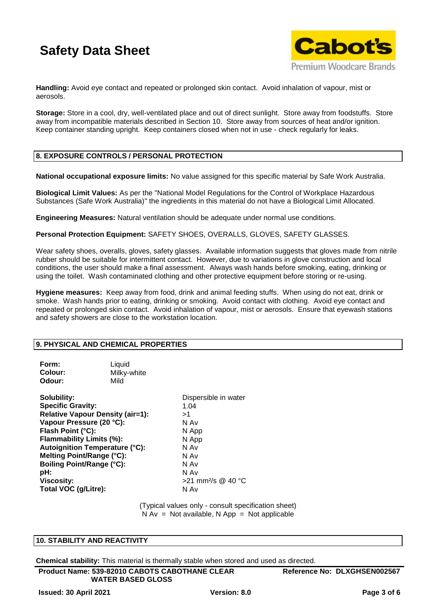

**Handling:** Avoid eye contact and repeated or prolonged skin contact. Avoid inhalation of vapour, mist or aerosols.

**Storage:** Store in a cool, dry, well-ventilated place and out of direct sunlight. Store away from foodstuffs. Store away from incompatible materials described in Section 10. Store away from sources of heat and/or ignition. Keep container standing upright. Keep containers closed when not in use - check regularly for leaks.

## **8. EXPOSURE CONTROLS / PERSONAL PROTECTION**

**National occupational exposure limits:** No value assigned for this specific material by Safe Work Australia.

**Biological Limit Values:** As per the "National Model Regulations for the Control of Workplace Hazardous Substances (Safe Work Australia)" the ingredients in this material do not have a Biological Limit Allocated.

**Engineering Measures:** Natural ventilation should be adequate under normal use conditions.

**Personal Protection Equipment:** SAFETY SHOES, OVERALLS, GLOVES, SAFETY GLASSES.

Wear safety shoes, overalls, gloves, safety glasses. Available information suggests that gloves made from nitrile rubber should be suitable for intermittent contact. However, due to variations in glove construction and local conditions, the user should make a final assessment. Always wash hands before smoking, eating, drinking or using the toilet. Wash contaminated clothing and other protective equipment before storing or re-using.

**Hygiene measures:** Keep away from food, drink and animal feeding stuffs. When using do not eat, drink or smoke. Wash hands prior to eating, drinking or smoking. Avoid contact with clothing. Avoid eye contact and repeated or prolonged skin contact. Avoid inhalation of vapour, mist or aerosols. Ensure that eyewash stations and safety showers are close to the workstation location.

### **9. PHYSICAL AND CHEMICAL PROPERTIES**

| Form:<br>Colour:<br>Odour:                                                                                                                                                                                                                                                                                                    | Liquid<br>Milky-white<br>Mild |                                                                                                                                           |
|-------------------------------------------------------------------------------------------------------------------------------------------------------------------------------------------------------------------------------------------------------------------------------------------------------------------------------|-------------------------------|-------------------------------------------------------------------------------------------------------------------------------------------|
| Solubility:<br><b>Specific Gravity:</b><br><b>Relative Vapour Density (air=1):</b><br>Vapour Pressure (20 °C):<br>Flash Point (°C):<br>Flammability Limits (%):<br><b>Autoignition Temperature (°C):</b><br>Melting Point/Range (°C):<br><b>Boiling Point/Range (°C):</b><br>pH:<br><b>Viscosity:</b><br>Total VOC (g/Litre): |                               | Dispersible in water<br>1.04<br>>1<br>N Av<br>N App<br>N App<br>N Av<br>N Av<br>N Av<br>N Av<br>$>$ 21 mm <sup>2</sup> /s @ 40 °C<br>N Av |

(Typical values only - consult specification sheet)  $N Av = Not available, N App = Not applicable$ 

### **10. STABILITY AND REACTIVITY**

**Chemical stability:** This material is thermally stable when stored and used as directed.

**Product Name: 539-82010 CABOTS CABOTHANE CLEAR WATER BASED GLOSS**

**Reference No: DLXGHSEN002567**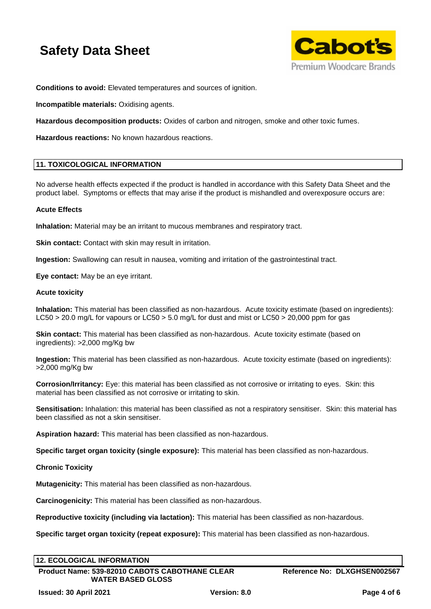

**Conditions to avoid:** Elevated temperatures and sources of ignition.

**Incompatible materials:** Oxidising agents.

**Hazardous decomposition products:** Oxides of carbon and nitrogen, smoke and other toxic fumes.

**Hazardous reactions:** No known hazardous reactions.

## **11. TOXICOLOGICAL INFORMATION**

No adverse health effects expected if the product is handled in accordance with this Safety Data Sheet and the product label. Symptoms or effects that may arise if the product is mishandled and overexposure occurs are:

## **Acute Effects**

**Inhalation:** Material may be an irritant to mucous membranes and respiratory tract.

**Skin contact:** Contact with skin may result in irritation.

**Ingestion:** Swallowing can result in nausea, vomiting and irritation of the gastrointestinal tract.

**Eye contact:** May be an eye irritant.

### **Acute toxicity**

**Inhalation:** This material has been classified as non-hazardous. Acute toxicity estimate (based on ingredients): LC50 > 20.0 mg/L for vapours or LC50 > 5.0 mg/L for dust and mist or LC50 > 20,000 ppm for gas

**Skin contact:** This material has been classified as non-hazardous. Acute toxicity estimate (based on ingredients): >2,000 mg/Kg bw

**Ingestion:** This material has been classified as non-hazardous. Acute toxicity estimate (based on ingredients): >2,000 mg/Kg bw

**Corrosion/Irritancy:** Eye: this material has been classified as not corrosive or irritating to eyes. Skin: this material has been classified as not corrosive or irritating to skin.

**Sensitisation:** Inhalation: this material has been classified as not a respiratory sensitiser. Skin: this material has been classified as not a skin sensitiser.

**Aspiration hazard:** This material has been classified as non-hazardous.

**Specific target organ toxicity (single exposure):** This material has been classified as non-hazardous.

# **Chronic Toxicity**

**Mutagenicity:** This material has been classified as non-hazardous.

**Carcinogenicity:** This material has been classified as non-hazardous.

**Reproductive toxicity (including via lactation):** This material has been classified as non-hazardous.

**Specific target organ toxicity (repeat exposure):** This material has been classified as non-hazardous.

### **12. ECOLOGICAL INFORMATION**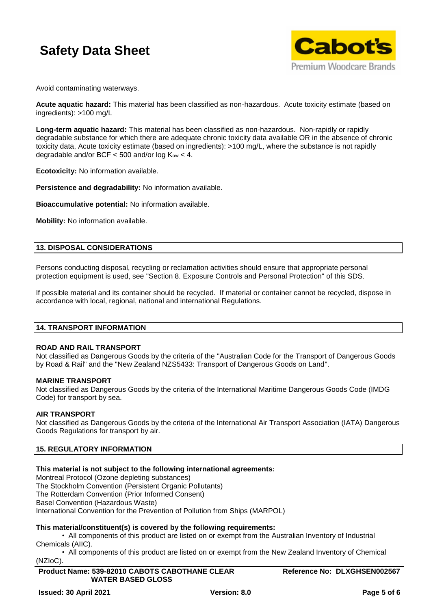

Avoid contaminating waterways.

**Acute aquatic hazard:** This material has been classified as non-hazardous. Acute toxicity estimate (based on ingredients): >100 mg/L

**Long-term aquatic hazard:** This material has been classified as non-hazardous. Non-rapidly or rapidly degradable substance for which there are adequate chronic toxicity data available OR in the absence of chronic toxicity data, Acute toxicity estimate (based on ingredients): >100 mg/L, where the substance is not rapidly degradable and/or BCF  $<$  500 and/or log  $K_{ow}$   $<$  4.

**Ecotoxicity:** No information available.

**Persistence and degradability:** No information available.

**Bioaccumulative potential:** No information available.

**Mobility:** No information available.

## **13. DISPOSAL CONSIDERATIONS**

Persons conducting disposal, recycling or reclamation activities should ensure that appropriate personal protection equipment is used, see "Section 8. Exposure Controls and Personal Protection" of this SDS.

If possible material and its container should be recycled. If material or container cannot be recycled, dispose in accordance with local, regional, national and international Regulations.

### **14. TRANSPORT INFORMATION**

### **ROAD AND RAIL TRANSPORT**

Not classified as Dangerous Goods by the criteria of the "Australian Code for the Transport of Dangerous Goods by Road & Rail" and the "New Zealand NZS5433: Transport of Dangerous Goods on Land".

### **MARINE TRANSPORT**

Not classified as Dangerous Goods by the criteria of the International Maritime Dangerous Goods Code (IMDG Code) for transport by sea.

### **AIR TRANSPORT**

Not classified as Dangerous Goods by the criteria of the International Air Transport Association (IATA) Dangerous Goods Regulations for transport by air.

# **15. REGULATORY INFORMATION**

### **This material is not subject to the following international agreements:**

Montreal Protocol (Ozone depleting substances)

The Stockholm Convention (Persistent Organic Pollutants)

The Rotterdam Convention (Prior Informed Consent)

Basel Convention (Hazardous Waste)

International Convention for the Prevention of Pollution from Ships (MARPOL)

### **This material/constituent(s) is covered by the following requirements:**

• All components of this product are listed on or exempt from the Australian Inventory of Industrial Chemicals (AIIC).

• All components of this product are listed on or exempt from the New Zealand Inventory of Chemical (NZIoC).

**Product Name: 539-82010 CABOTS CABOTHANE CLEAR WATER BASED GLOSS**

**Reference No: DLXGHSEN002567**